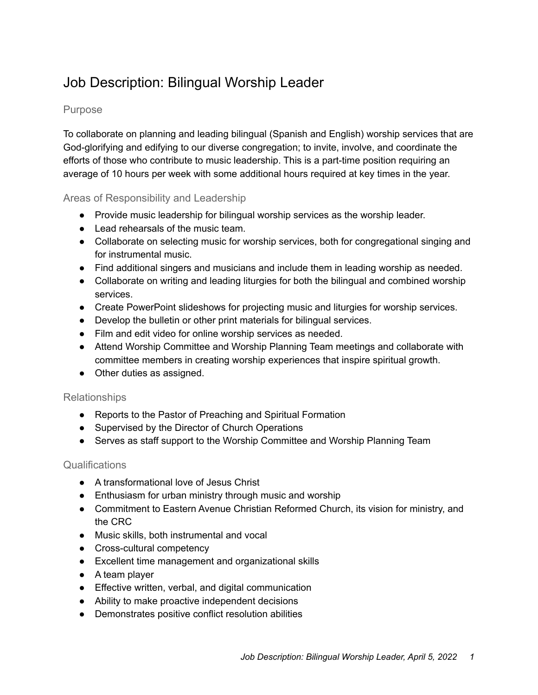# Job Description: Bilingual Worship Leader

# Purpose

To collaborate on planning and leading bilingual (Spanish and English) worship services that are God-glorifying and edifying to our diverse congregation; to invite, involve, and coordinate the efforts of those who contribute to music leadership. This is a part-time position requiring an average of 10 hours per week with some additional hours required at key times in the year.

## Areas of Responsibility and Leadership

- Provide music leadership for bilingual worship services as the worship leader.
- Lead rehearsals of the music team.
- Collaborate on selecting music for worship services, both for congregational singing and for instrumental music.
- Find additional singers and musicians and include them in leading worship as needed.
- Collaborate on writing and leading liturgies for both the bilingual and combined worship services.
- Create PowerPoint slideshows for projecting music and liturgies for worship services.
- Develop the bulletin or other print materials for bilingual services.
- Film and edit video for online worship services as needed.
- Attend Worship Committee and Worship Planning Team meetings and collaborate with committee members in creating worship experiences that inspire spiritual growth.
- Other duties as assigned.

## Relationships

- Reports to the Pastor of Preaching and Spiritual Formation
- Supervised by the Director of Church Operations
- Serves as staff support to the Worship Committee and Worship Planning Team

#### Qualifications

- A transformational love of Jesus Christ
- Enthusiasm for urban ministry through music and worship
- Commitment to Eastern Avenue Christian Reformed Church, its vision for ministry, and the CRC
- Music skills, both instrumental and vocal
- Cross-cultural competency
- Excellent time management and organizational skills
- A team player
- Effective written, verbal, and digital communication
- Ability to make proactive independent decisions
- Demonstrates positive conflict resolution abilities